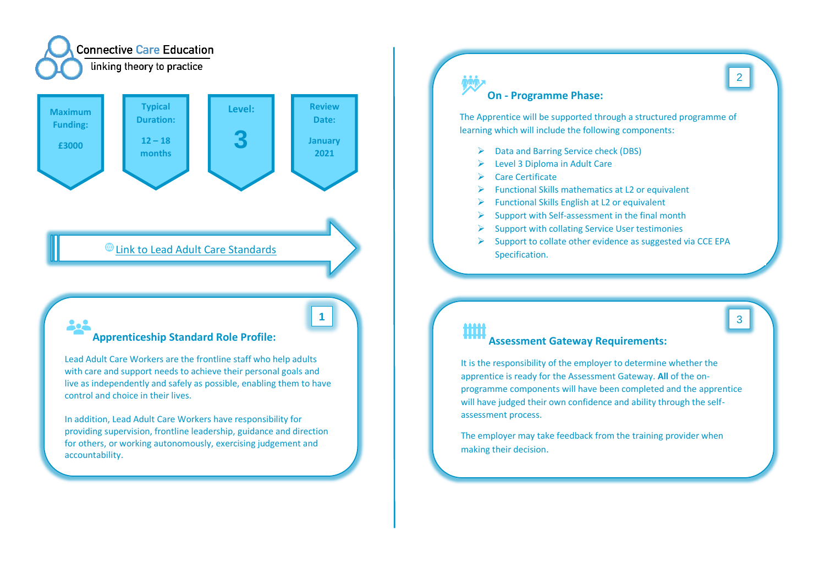

# [Link to Lead Adult Care Standards](https://www.instituteforapprenticeships.org/apprenticeship-standards/lead-adult-care-worker/)

## **Apprenticeship Standard Role Profile:**

Lead Adult Care Workers are the frontline staff who help adults with care and support needs to achieve their personal goals and live as independently and safely as possible, enabling them to have control and choice in their lives.

In addition, Lead Adult Care Workers have responsibility for providing supervision, frontline leadership, guidance and direction for others, or working autonomously, exercising judgement and accountability.

# **On - Programme Phase:**

The Apprentice will be supported through a structured programme of learning which will include the following components:

- ➢ Data and Barring Service check (DBS)
- ➢ Level 3 Diploma in Adult Care
- ➢ Care Certificate
- $\triangleright$  Functional Skills mathematics at L2 or equivalent
- $\triangleright$  Functional Skills English at L2 or equivalent
- $\triangleright$  Support with Self-assessment in the final month
- ➢ Support with collating Service User testimonies
- $\triangleright$  Support to collate other evidence as suggested via CCE EPA Specification.

# **1** 3 Шij

## **Assessment Gateway Requirements:**

It is the responsibility of the employer to determine whether the apprentice is ready for the Assessment Gateway. **All** of the onprogramme components will have been completed and the apprentice will have judged their own confidence and ability through the selfassessment process.

The employer may take feedback from the training provider when making their decision.

2